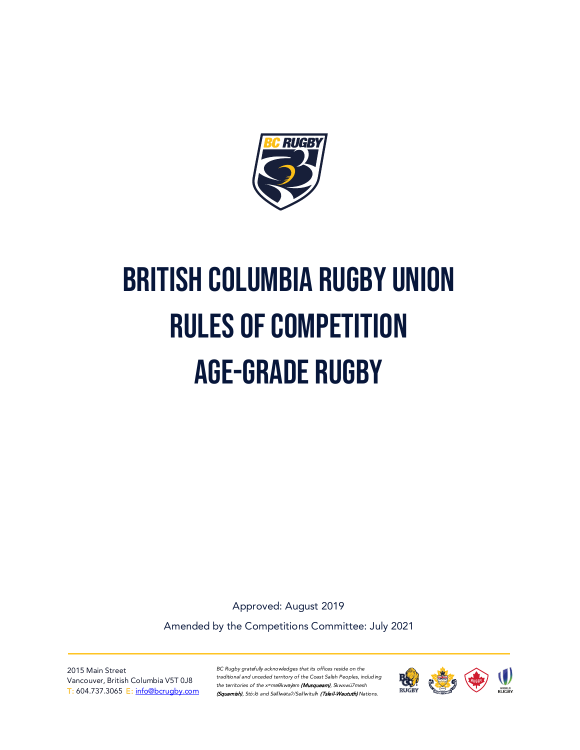

# British Columbia Rugby Union Rules of Competition Age-Grade Rugby

Approved: August 2019

Amended by the Competitions Committee: July 2021

2015 Main Street Vancouver, British Columbia V5T 0J8 T: 604.737.3065 E: [info@bcrugby.com](mailto:info@bcrugby.com)

*BC Rugby gratefully acknowledges that its offices reside on the traditional and unceded territory of the Coast Salish Peoples, including the territories of the xʷməθkwəy̓əm* (Musqueam)*, Skwxwú7mesh*  (Squamish), Stó:lō and S*əl̓ílwətaʔ/Selilwitulh* (Tsleil-Waututh) *Nations.*

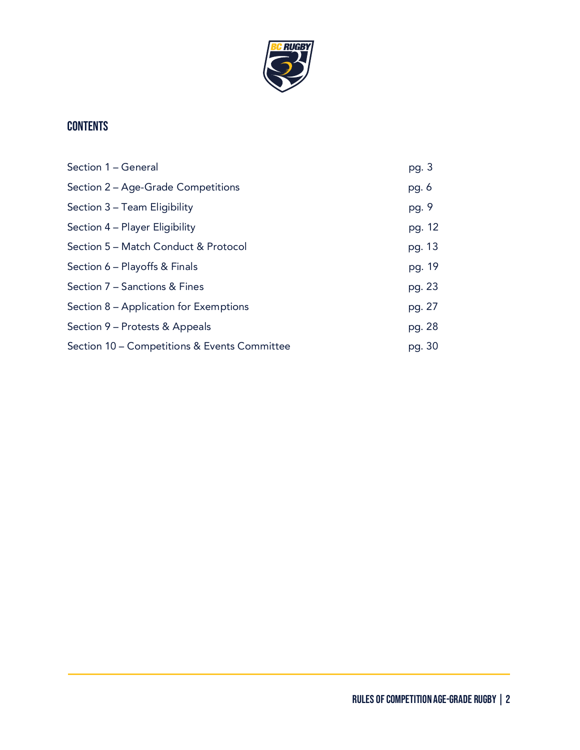

# **CONTENTS**

| Section 1 - General                          | pg. 3  |
|----------------------------------------------|--------|
| Section 2 - Age-Grade Competitions           | pg. 6  |
| Section 3 - Team Eligibility                 | pg. 9  |
| Section 4 – Player Eligibility               | pg. 12 |
| Section 5 – Match Conduct & Protocol         | pg. 13 |
| Section 6 - Playoffs & Finals                | pg. 19 |
| Section 7 - Sanctions & Fines                | pg. 23 |
| Section 8 – Application for Exemptions       | pg. 27 |
| Section 9 – Protests & Appeals               | pg. 28 |
| Section 10 – Competitions & Events Committee | pg. 30 |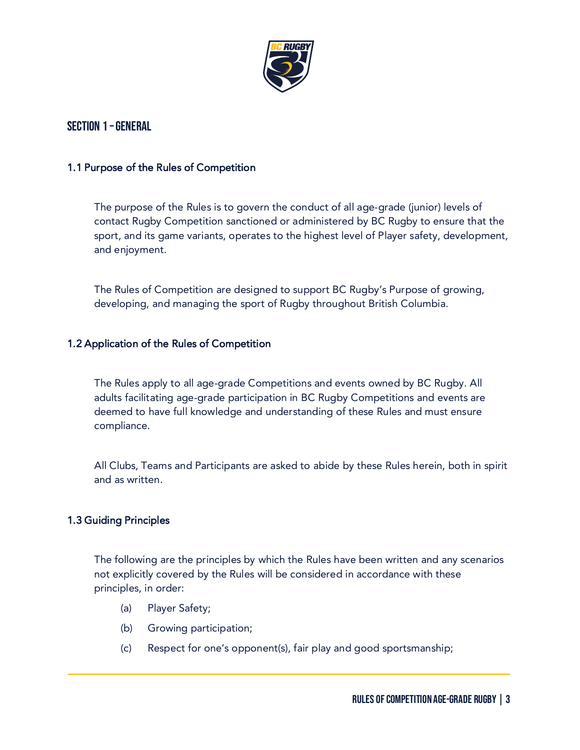

## Section 1 –General

#### 1.1 Purpose of the Rules of Competition

The purpose of the Rules is to govern the conduct of all age-grade (junior) levels of contact Rugby Competition sanctioned or administered by BC Rugby to ensure that the sport, and its game variants, operates to the highest level of Player safety, development, and enjoyment.

The Rules of Competition are designed to support BC Rugby's Purpose of growing, developing, and managing the sport of Rugby throughout British Columbia.

#### 1.2 Application of the Rules of Competition

The Rules apply to all age-grade Competitions and events owned by BC Rugby. All adults facilitating age-grade participation in BC Rugby Competitions and events are deemed to have full knowledge and understanding of these Rules and must ensure compliance.

All Clubs, Teams and Participants are asked to abide by these Rules herein, both in spirit and as written.

#### 1.3 Guiding Principles

The following are the principles by which the Rules have been written and any scenarios not explicitly covered by the Rules will be considered in accordance with these principles, in order:

- (a) Player Safety;
- (b) Growing participation;
- (c) Respect for one's opponent(s), fair play and good sportsmanship;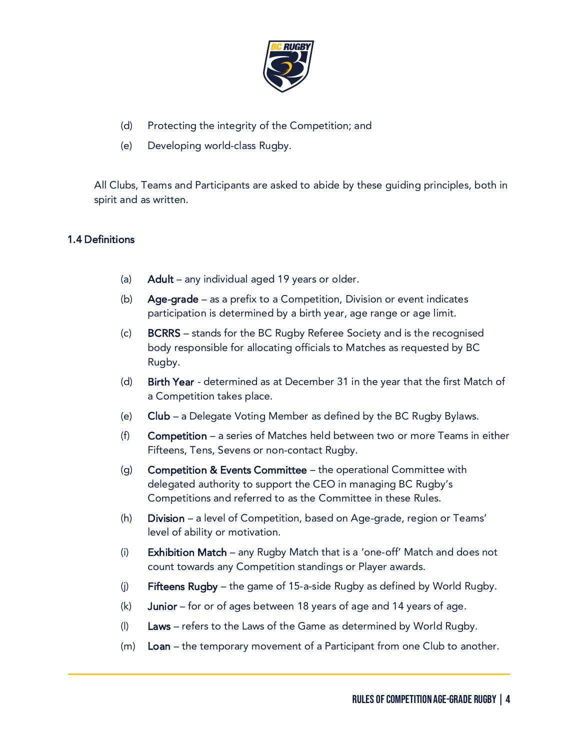

- (d) Protecting the integrity of the Competition; and
- (e) Developing world-class Rugby.

All Clubs, Teams and Participants are asked to abide by these guiding principles, both in spirit and as written.

#### 1.4 Definitions

- (a) **Adult** any individual aged 19 years or older.
- (b) Age-grade as a prefix to a Competition, Division or event indicates participation is determined by a birth year, age range or age limit.
- (c) BCRRS stands for the BC Rugby Referee Society and is the recognised body responsible for allocating officials to Matches as requested by BC Rugby.
- (d) Birth Year determined as at December 31 in the year that the first Match of a Competition takes place.
- (e) Club a Delegate Voting Member as defined by the BC Rugby Bylaws.
- (f) Competition a series of Matches held between two or more Teams in either Fifteens, Tens, Sevens or non-contact Rugby.
- (g) Competition & Events Committee the operational Committee with delegated authority to support the CEO in managing BC Rugby's Competitions and referred to as the Committee in these Rules.
- (h) Division a level of Competition, based on Age-grade, region or Teams' level of ability or motivation.
- (i) Exhibition Match any Rugby Match that is a 'one-off' Match and does not count towards any Competition standings or Player awards.
- (j) Fifteens Rugby the game of 15-a-side Rugby as defined by World Rugby.
- (k) Junior for or of ages between 18 years of age and 14 years of age.
- (l) Laws refers to the Laws of the Game as determined by World Rugby.
- $(m)$  Loan the temporary movement of a Participant from one Club to another.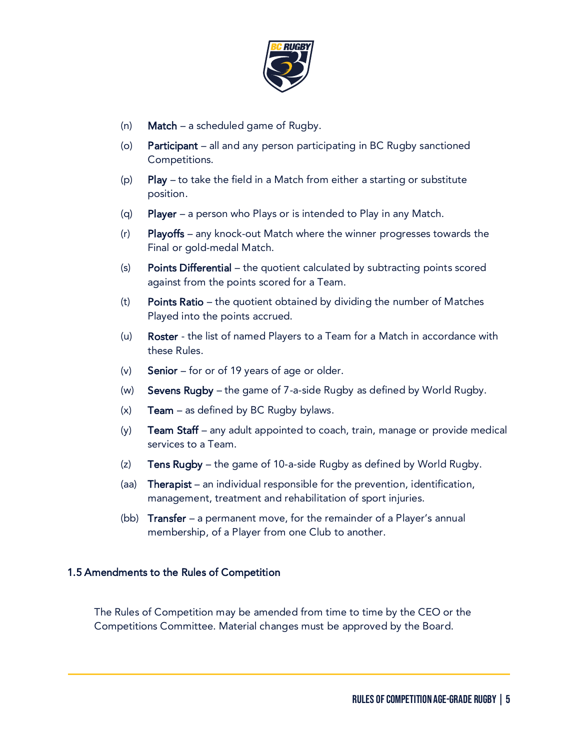

- (n) **Match** a scheduled game of Rugby.
- (o) Participant all and any person participating in BC Rugby sanctioned Competitions.
- (p) Play to take the field in a Match from either a starting or substitute position.
- (q) Player a person who Plays or is intended to Play in any Match.
- (r) Playoffs any knock-out Match where the winner progresses towards the Final or gold-medal Match.
- (s) Points Differential the quotient calculated by subtracting points scored against from the points scored for a Team.
- (t) Points Ratio the quotient obtained by dividing the number of Matches Played into the points accrued.
- (u) Roster the list of named Players to a Team for a Match in accordance with these Rules.
- (v) **Senior** for or of 19 years of age or older.
- (w) Sevens Rugby the game of 7-a-side Rugby as defined by World Rugby.
- $(x)$  Team as defined by BC Rugby bylaws.
- $(y)$  Team Staff any adult appointed to coach, train, manage or provide medical services to a Team.
- (z) Tens Rugby the game of 10-a-side Rugby as defined by World Rugby.
- (aa) Therapist an individual responsible for the prevention, identification, management, treatment and rehabilitation of sport injuries.
- (bb) Transfer a permanent move, for the remainder of a Player's annual membership, of a Player from one Club to another.

#### 1.5 Amendments to the Rules of Competition

The Rules of Competition may be amended from time to time by the CEO or the Competitions Committee. Material changes must be approved by the Board.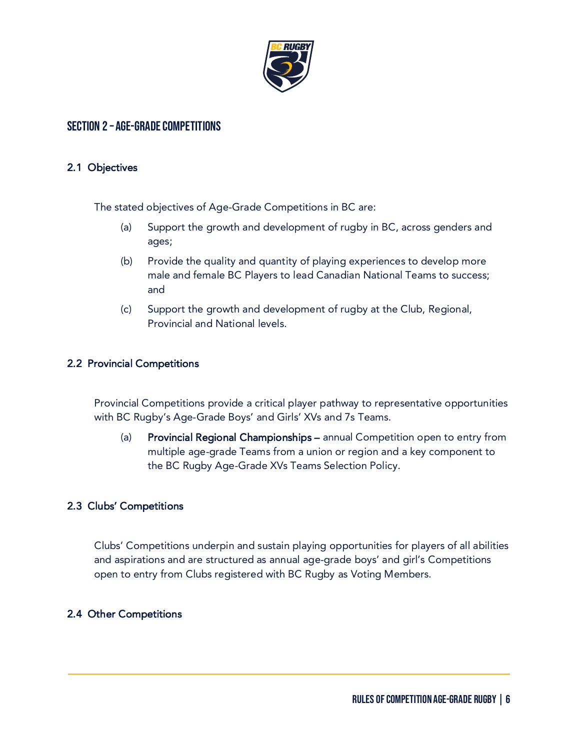

## Section 2 – Age-Grade Competitions

#### 2.1 Objectives

The stated objectives of Age-Grade Competitions in BC are:

- (a) Support the growth and development of rugby in BC, across genders and ages;
- (b) Provide the quality and quantity of playing experiences to develop more male and female BC Players to lead Canadian National Teams to success; and
- (c) Support the growth and development of rugby at the Club, Regional, Provincial and National levels.

#### 2.2 Provincial Competitions

Provincial Competitions provide a critical player pathway to representative opportunities with BC Rugby's Age-Grade Boys' and Girls' XVs and 7s Teams.

(a) Provincial Regional Championships – annual Competition open to entry from multiple age-grade Teams from a union or region and a key component to the BC Rugby Age-Grade XVs Teams Selection Policy.

#### 2.3 Clubs' Competitions

Clubs' Competitions underpin and sustain playing opportunities for players of all abilities and aspirations and are structured as annual age-grade boys' and girl's Competitions open to entry from Clubs registered with BC Rugby as Voting Members.

#### 2.4 Other Competitions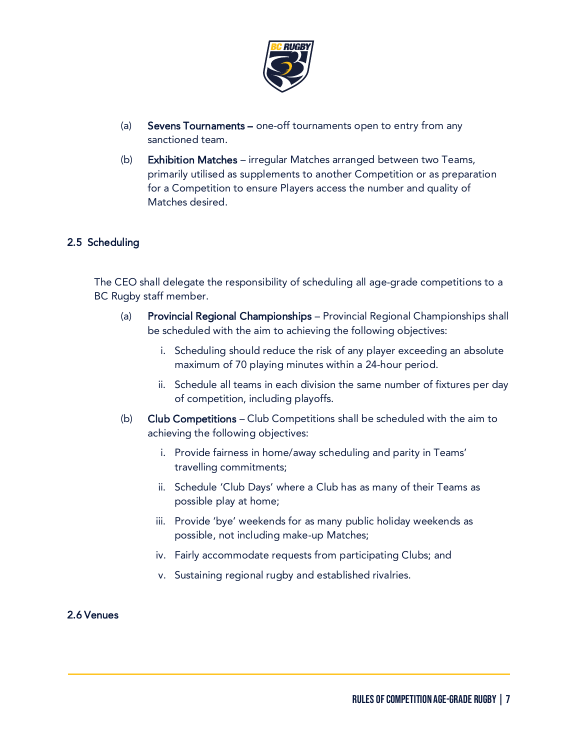

- (a) Sevens Tournaments one-off tournaments open to entry from any sanctioned team.
- (b) Exhibition Matches irregular Matches arranged between two Teams, primarily utilised as supplements to another Competition or as preparation for a Competition to ensure Players access the number and quality of Matches desired.

#### 2.5 Scheduling

The CEO shall delegate the responsibility of scheduling all age-grade competitions to a BC Rugby staff member.

- (a) Provincial Regional Championships Provincial Regional Championships shall be scheduled with the aim to achieving the following objectives:
	- i. Scheduling should reduce the risk of any player exceeding an absolute maximum of 70 playing minutes within a 24-hour period.
	- ii. Schedule all teams in each division the same number of fixtures per day of competition, including playoffs.
- (b) Club Competitions Club Competitions shall be scheduled with the aim to achieving the following objectives:
	- i. Provide fairness in home/away scheduling and parity in Teams' travelling commitments;
	- ii. Schedule 'Club Days' where a Club has as many of their Teams as possible play at home;
	- iii. Provide 'bye' weekends for as many public holiday weekends as possible, not including make-up Matches;
	- iv. Fairly accommodate requests from participating Clubs; and
	- v. Sustaining regional rugby and established rivalries.

#### 2.6 Venues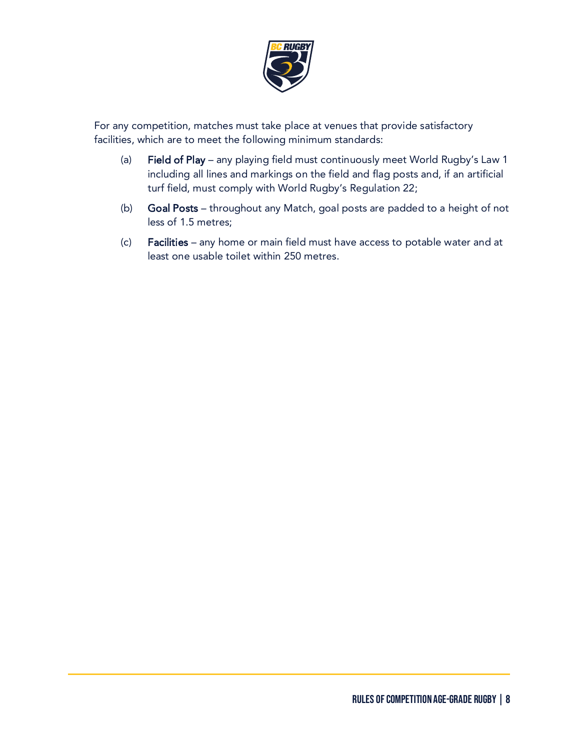

For any competition, matches must take place at venues that provide satisfactory facilities, which are to meet the following minimum standards:

- (a) Field of Play any playing field must continuously meet World Rugby's Law 1 including all lines and markings on the field and flag posts and, if an artificial turf field, must comply with World Rugby's Regulation 22;
- (b) Goal Posts throughout any Match, goal posts are padded to a height of not less of 1.5 metres;
- (c) Facilities any home or main field must have access to potable water and at least one usable toilet within 250 metres.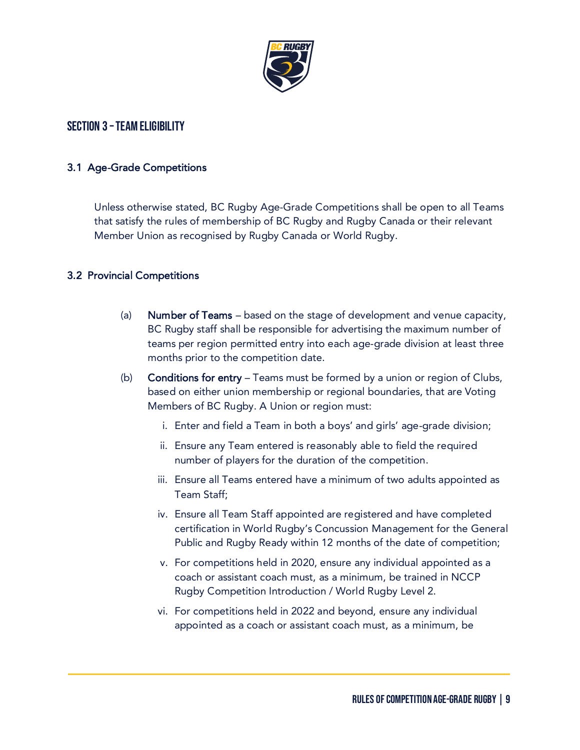

## SECTION 3 - TEAM ELIGIBILITY

#### 3.1 Age-Grade Competitions

Unless otherwise stated, BC Rugby Age-Grade Competitions shall be open to all Teams that satisfy the rules of membership of BC Rugby and Rugby Canada or their relevant Member Union as recognised by Rugby Canada or World Rugby.

## 3.2 Provincial Competitions

- (a) Number of Teams based on the stage of development and venue capacity, BC Rugby staff shall be responsible for advertising the maximum number of teams per region permitted entry into each age-grade division at least three months prior to the competition date.
- (b) Conditions for entry Teams must be formed by a union or region of Clubs, based on either union membership or regional boundaries, that are Voting Members of BC Rugby. A Union or region must:
	- i. Enter and field a Team in both a boys' and girls' age-grade division;
	- ii. Ensure any Team entered is reasonably able to field the required number of players for the duration of the competition.
	- iii. Ensure all Teams entered have a minimum of two adults appointed as Team Staff;
	- iv. Ensure all Team Staff appointed are registered and have completed certification in World Rugby's Concussion Management for the General Public and Rugby Ready within 12 months of the date of competition;
	- v. For competitions held in 2020, ensure any individual appointed as a coach or assistant coach must, as a minimum, be trained in NCCP Rugby Competition Introduction / World Rugby Level 2.
	- vi. For competitions held in 2022 and beyond, ensure any individual appointed as a coach or assistant coach must, as a minimum, be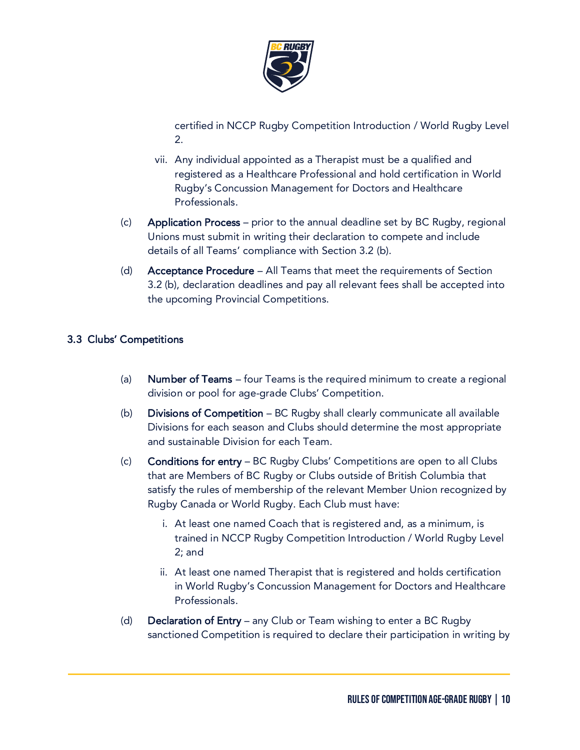

certified in NCCP Rugby Competition Introduction / World Rugby Level 2.

- vii. Any individual appointed as a Therapist must be a qualified and registered as a Healthcare Professional and hold certification in World Rugby's Concussion Management for Doctors and Healthcare Professionals.
- (c) Application Process prior to the annual deadline set by BC Rugby, regional Unions must submit in writing their declaration to compete and include details of all Teams' compliance with Section 3.2 (b).
- (d) Acceptance Procedure All Teams that meet the requirements of Section 3.2 (b), declaration deadlines and pay all relevant fees shall be accepted into the upcoming Provincial Competitions.

## 3.3 Clubs' Competitions

- (a) Number of Teams four Teams is the required minimum to create a regional division or pool for age-grade Clubs' Competition.
- (b) Divisions of Competition BC Rugby shall clearly communicate all available Divisions for each season and Clubs should determine the most appropriate and sustainable Division for each Team.
- (c) Conditions for entry BC Rugby Clubs' Competitions are open to all Clubs that are Members of BC Rugby or Clubs outside of British Columbia that satisfy the rules of membership of the relevant Member Union recognized by Rugby Canada or World Rugby. Each Club must have:
	- i. At least one named Coach that is registered and, as a minimum, is trained in NCCP Rugby Competition Introduction / World Rugby Level 2; and
	- ii. At least one named Therapist that is registered and holds certification in World Rugby's Concussion Management for Doctors and Healthcare Professionals.
- (d) Declaration of Entry any Club or Team wishing to enter a BC Rugby sanctioned Competition is required to declare their participation in writing by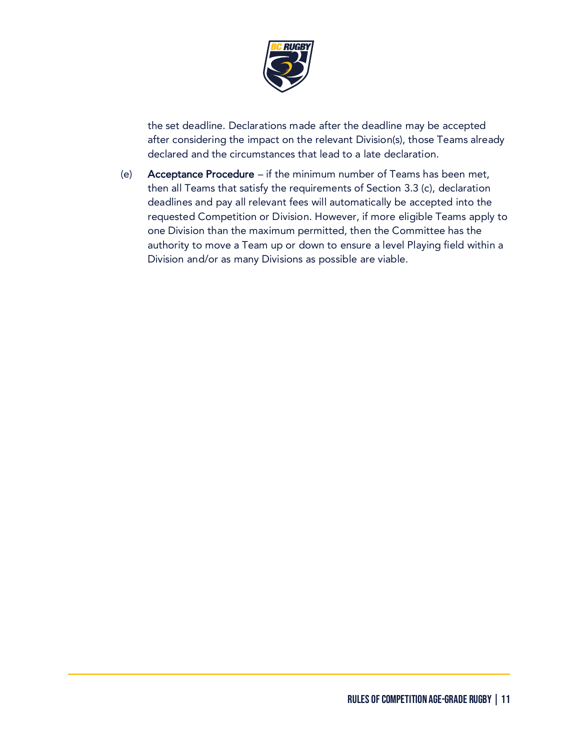

the set deadline. Declarations made after the deadline may be accepted after considering the impact on the relevant Division(s), those Teams already declared and the circumstances that lead to a late declaration.

(e) Acceptance Procedure – if the minimum number of Teams has been met, then all Teams that satisfy the requirements of Section 3.3 (c), declaration deadlines and pay all relevant fees will automatically be accepted into the requested Competition or Division. However, if more eligible Teams apply to one Division than the maximum permitted, then the Committee has the authority to move a Team up or down to ensure a level Playing field within a Division and/or as many Divisions as possible are viable.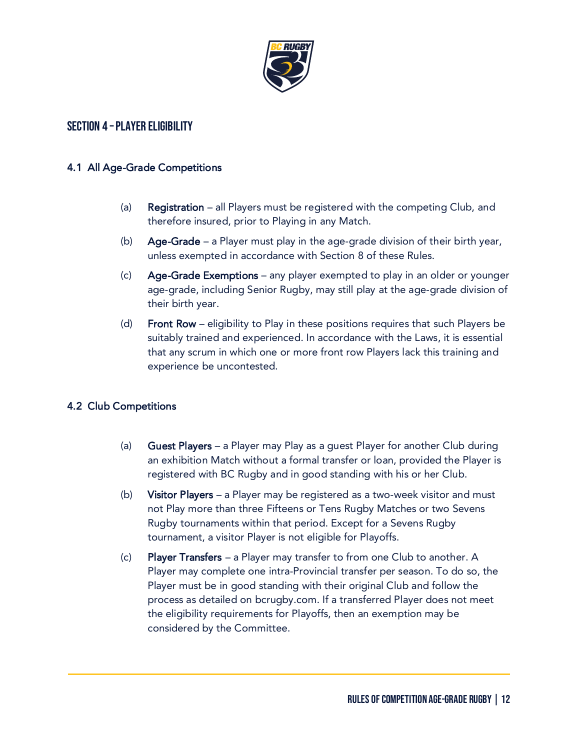

## Section 4 –Player Eligibility

#### 4.1 All Age-Grade Competitions

- (a) Registration all Players must be registered with the competing Club, and therefore insured, prior to Playing in any Match.
- (b) Age-Grade a Player must play in the age-grade division of their birth year, unless exempted in accordance with Section 8 of these Rules.
- (c) Age-Grade Exemptions any player exempted to play in an older or younger age-grade, including Senior Rugby, may still play at the age-grade division of their birth year.
- (d) Front Row eligibility to Play in these positions requires that such Players be suitably trained and experienced. In accordance with the Laws, it is essential that any scrum in which one or more front row Players lack this training and experience be uncontested.

#### 4.2 Club Competitions

- (a) Guest Players a Player may Play as a guest Player for another Club during an exhibition Match without a formal transfer or loan, provided the Player is registered with BC Rugby and in good standing with his or her Club.
- (b) Visitor Players a Player may be registered as a two-week visitor and must not Play more than three Fifteens or Tens Rugby Matches or two Sevens Rugby tournaments within that period. Except for a Sevens Rugby tournament, a visitor Player is not eligible for Playoffs.
- (c) Player Transfers a Player may transfer to from one Club to another. A Player may complete one intra-Provincial transfer per season. To do so, the Player must be in good standing with their original Club and follow the process as detailed on bcrugby.com. If a transferred Player does not meet the eligibility requirements for Playoffs, then an exemption may be considered by the Committee.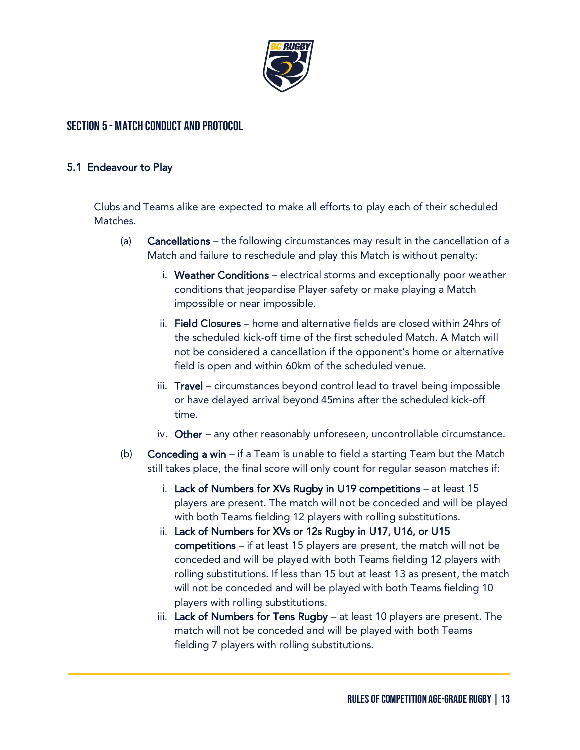

## Section 5 - Match Conduct and Protocol

#### 5.1 Endeavour to Play

Clubs and Teams alike are expected to make all efforts to play each of their scheduled Matches.

- (a) Cancellations the following circumstances may result in the cancellation of a Match and failure to reschedule and play this Match is without penalty:
	- i. Weather Conditions electrical storms and exceptionally poor weather conditions that jeopardise Player safety or make playing a Match impossible or near impossible.
	- ii. Field Closures home and alternative fields are closed within 24hrs of the scheduled kick-off time of the first scheduled Match. A Match will not be considered a cancellation if the opponent's home or alternative field is open and within 60km of the scheduled venue.
	- iii. Travel circumstances beyond control lead to travel being impossible or have delayed arrival beyond 45mins after the scheduled kick-off time.
	- iv. Other any other reasonably unforeseen, uncontrollable circumstance.
- (b) **Conceding a win** if a Team is unable to field a starting Team but the Match still takes place, the final score will only count for regular season matches if:
	- i. Lack of Numbers for XVs Rugby in U19 competitions at least 15 players are present. The match will not be conceded and will be played with both Teams fielding 12 players with rolling substitutions.
	- ii. Lack of Numbers for XVs or 12s Rugby in U17, U16, or U15 competitions – if at least 15 players are present, the match will not be conceded and will be played with both Teams fielding 12 players with rolling substitutions. If less than 15 but at least 13 as present, the match will not be conceded and will be played with both Teams fielding 10 players with rolling substitutions.
	- iii. Lack of Numbers for Tens Rugby  $-$  at least 10 players are present. The match will not be conceded and will be played with both Teams fielding 7 players with rolling substitutions.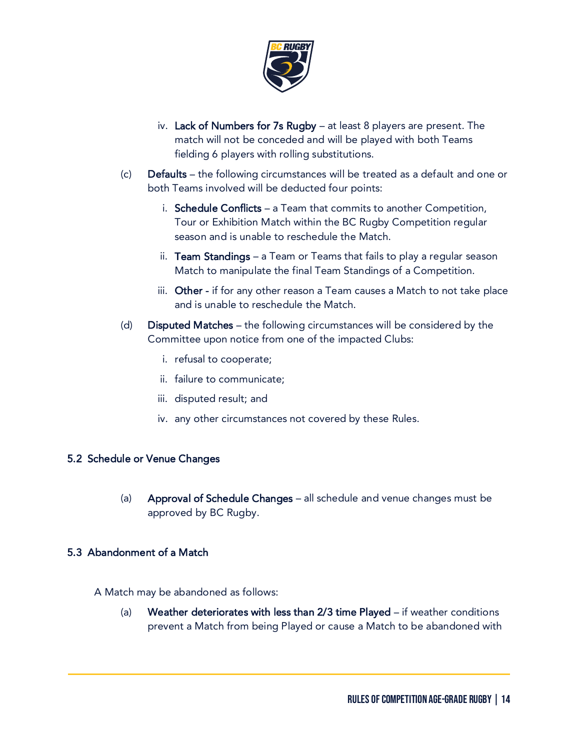

- iv. Lack of Numbers for 7s Rugby at least 8 players are present. The match will not be conceded and will be played with both Teams fielding 6 players with rolling substitutions.
- (c) Defaults the following circumstances will be treated as a default and one or both Teams involved will be deducted four points:
	- i. Schedule Conflicts a Team that commits to another Competition, Tour or Exhibition Match within the BC Rugby Competition regular season and is unable to reschedule the Match.
	- ii. Team Standings  $-$  a Team or Teams that fails to play a regular season Match to manipulate the final Team Standings of a Competition.
	- iii. Other if for any other reason a Team causes a Match to not take place and is unable to reschedule the Match.
- (d) Disputed Matches the following circumstances will be considered by the Committee upon notice from one of the impacted Clubs:
	- i. refusal to cooperate;
	- ii. failure to communicate;
	- iii. disputed result; and
	- iv. any other circumstances not covered by these Rules.

#### 5.2 Schedule or Venue Changes

(a) Approval of Schedule Changes – all schedule and venue changes must be approved by BC Rugby.

#### 5.3 Abandonment of a Match

A Match may be abandoned as follows:

(a) Weather deteriorates with less than 2/3 time Played – if weather conditions prevent a Match from being Played or cause a Match to be abandoned with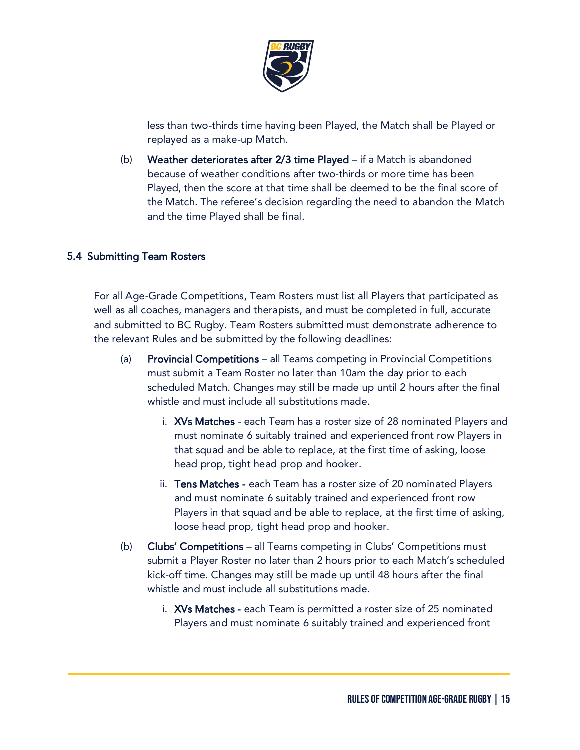

less than two-thirds time having been Played, the Match shall be Played or replayed as a make-up Match.

(b) Weather deteriorates after 2/3 time Played – if a Match is abandoned because of weather conditions after two-thirds or more time has been Played, then the score at that time shall be deemed to be the final score of the Match. The referee's decision regarding the need to abandon the Match and the time Played shall be final.

## 5.4 Submitting Team Rosters

For all Age-Grade Competitions, Team Rosters must list all Players that participated as well as all coaches, managers and therapists, and must be completed in full, accurate and submitted to BC Rugby. Team Rosters submitted must demonstrate adherence to the relevant Rules and be submitted by the following deadlines:

- (a) Provincial Competitions all Teams competing in Provincial Competitions must submit a Team Roster no later than 10am the day prior to each scheduled Match. Changes may still be made up until 2 hours after the final whistle and must include all substitutions made.
	- i. XVs Matches each Team has a roster size of 28 nominated Players and must nominate 6 suitably trained and experienced front row Players in that squad and be able to replace, at the first time of asking, loose head prop, tight head prop and hooker.
	- ii. Tens Matches each Team has a roster size of 20 nominated Players and must nominate 6 suitably trained and experienced front row Players in that squad and be able to replace, at the first time of asking, loose head prop, tight head prop and hooker.
- (b) Clubs' Competitions all Teams competing in Clubs' Competitions must submit a Player Roster no later than 2 hours prior to each Match's scheduled kick-off time. Changes may still be made up until 48 hours after the final whistle and must include all substitutions made.
	- i. XVs Matches each Team is permitted a roster size of 25 nominated Players and must nominate 6 suitably trained and experienced front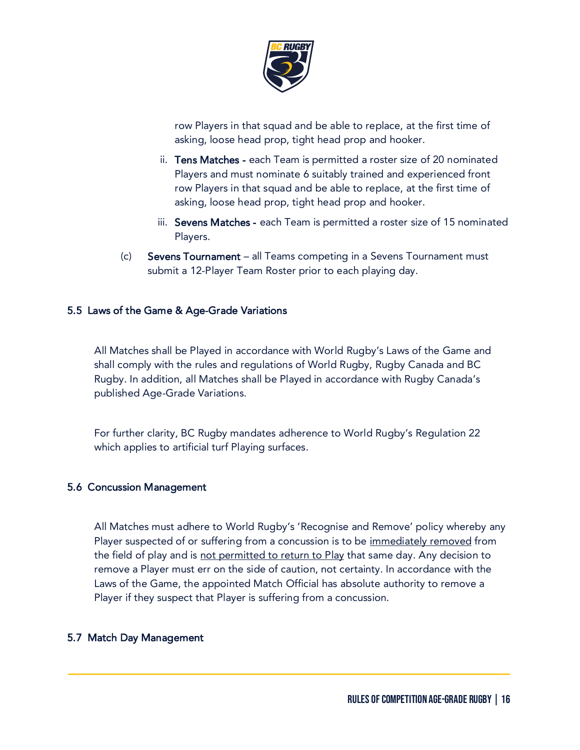

row Players in that squad and be able to replace, at the first time of asking, loose head prop, tight head prop and hooker.

- ii. Tens Matches each Team is permitted a roster size of 20 nominated Players and must nominate 6 suitably trained and experienced front row Players in that squad and be able to replace, at the first time of asking, loose head prop, tight head prop and hooker.
- iii. Sevens Matches each Team is permitted a roster size of 15 nominated Players.
- (c) Sevens Tournament all Teams competing in a Sevens Tournament must submit a 12-Player Team Roster prior to each playing day.

#### 5.5 Laws of the Game & Age-Grade Variations

All Matches shall be Played in accordance with World Rugby's Laws of the Game and shall comply with the rules and regulations of World Rugby, Rugby Canada and BC Rugby. In addition, all Matches shall be Played in accordance with Rugby Canada's published Age-Grade Variations.

For further clarity, BC Rugby mandates adherence to World Rugby's Regulation 22 which applies to artificial turf Playing surfaces.

#### 5.6 Concussion Management

All Matches must adhere to World Rugby's 'Recognise and Remove' policy whereby any Player suspected of or suffering from a concussion is to be immediately removed from the field of play and is not permitted to return to Play that same day. Any decision to remove a Player must err on the side of caution, not certainty. In accordance with the Laws of the Game, the appointed Match Official has absolute authority to remove a Player if they suspect that Player is suffering from a concussion.

#### 5.7 Match Day Management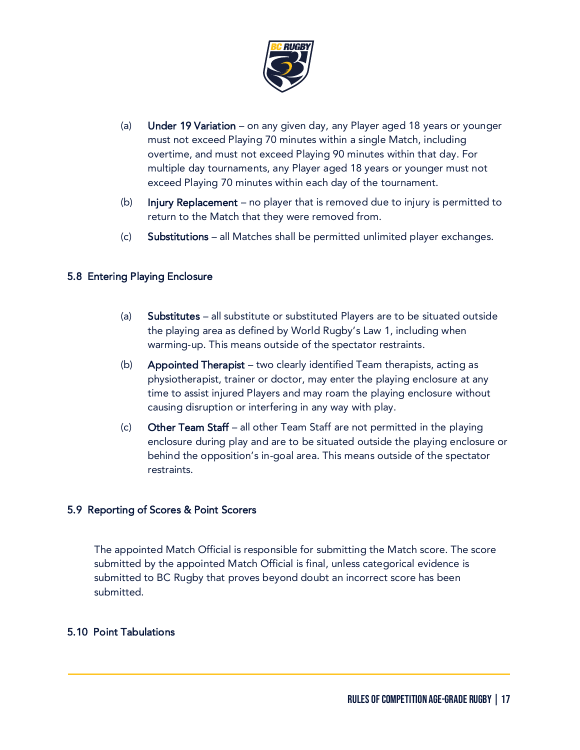

- (a) Under 19 Variation on any given day, any Player aged 18 years or younger must not exceed Playing 70 minutes within a single Match, including overtime, and must not exceed Playing 90 minutes within that day. For multiple day tournaments, any Player aged 18 years or younger must not exceed Playing 70 minutes within each day of the tournament.
- (b) Injury Replacement no player that is removed due to injury is permitted to return to the Match that they were removed from.
- (c) Substitutions all Matches shall be permitted unlimited player exchanges.

#### 5.8 Entering Playing Enclosure

- (a) Substitutes all substitute or substituted Players are to be situated outside the playing area as defined by World Rugby's Law 1, including when warming-up. This means outside of the spectator restraints.
- (b) Appointed Therapist two clearly identified Team therapists, acting as physiotherapist, trainer or doctor, may enter the playing enclosure at any time to assist injured Players and may roam the playing enclosure without causing disruption or interfering in any way with play.
- (c) Other Team Staff all other Team Staff are not permitted in the playing enclosure during play and are to be situated outside the playing enclosure or behind the opposition's in-goal area. This means outside of the spectator restraints.

#### 5.9 Reporting of Scores & Point Scorers

The appointed Match Official is responsible for submitting the Match score. The score submitted by the appointed Match Official is final, unless categorical evidence is submitted to BC Rugby that proves beyond doubt an incorrect score has been submitted.

#### 5.10 Point Tabulations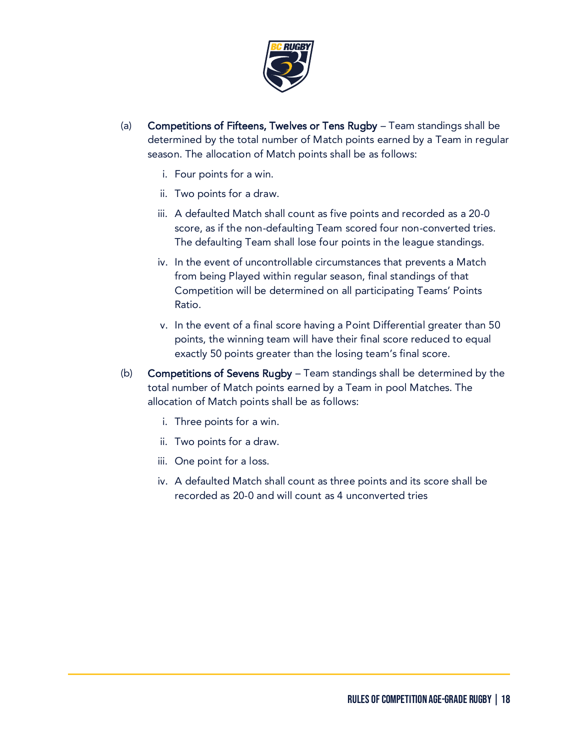

- (a) Competitions of Fifteens, Twelves or Tens Rugby Team standings shall be determined by the total number of Match points earned by a Team in regular season. The allocation of Match points shall be as follows:
	- i. Four points for a win.
	- ii. Two points for a draw.
	- iii. A defaulted Match shall count as five points and recorded as a 20-0 score, as if the non-defaulting Team scored four non-converted tries. The defaulting Team shall lose four points in the league standings.
	- iv. In the event of uncontrollable circumstances that prevents a Match from being Played within regular season, final standings of that Competition will be determined on all participating Teams' Points Ratio.
	- v. In the event of a final score having a Point Differential greater than 50 points, the winning team will have their final score reduced to equal exactly 50 points greater than the losing team's final score.
- (b) Competitions of Sevens Rugby Team standings shall be determined by the total number of Match points earned by a Team in pool Matches. The allocation of Match points shall be as follows:
	- i. Three points for a win.
	- ii. Two points for a draw.
	- iii. One point for a loss.
	- iv. A defaulted Match shall count as three points and its score shall be recorded as 20-0 and will count as 4 unconverted tries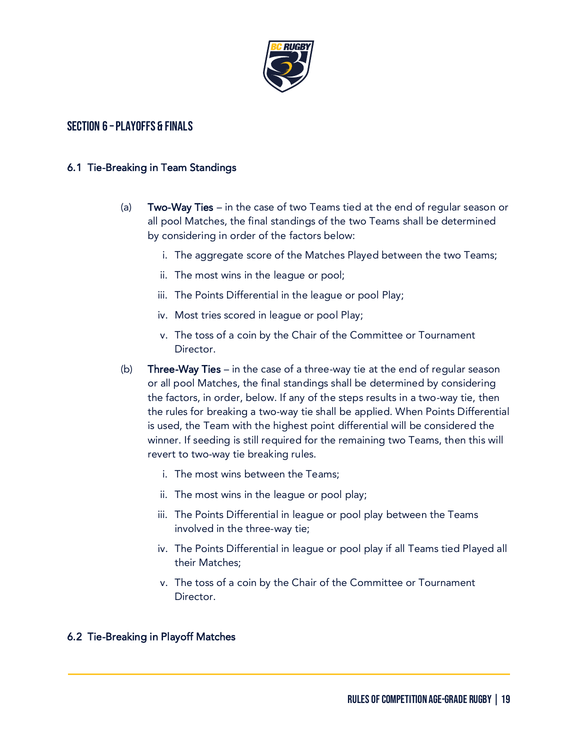

## Section 6 –Playoffs & Finals

#### 6.1 Tie-Breaking in Team Standings

- (a) Two-Way Ties in the case of two Teams tied at the end of regular season or all pool Matches, the final standings of the two Teams shall be determined by considering in order of the factors below:
	- i. The aggregate score of the Matches Played between the two Teams;
	- ii. The most wins in the league or pool;
	- iii. The Points Differential in the league or pool Play;
	- iv. Most tries scored in league or pool Play;
	- v. The toss of a coin by the Chair of the Committee or Tournament Director.
- (b) Three-Way Ties in the case of a three-way tie at the end of regular season or all pool Matches, the final standings shall be determined by considering the factors, in order, below. If any of the steps results in a two-way tie, then the rules for breaking a two-way tie shall be applied. When Points Differential is used, the Team with the highest point differential will be considered the winner. If seeding is still required for the remaining two Teams, then this will revert to two-way tie breaking rules.
	- i. The most wins between the Teams;
	- ii. The most wins in the league or pool play;
	- iii. The Points Differential in league or pool play between the Teams involved in the three-way tie;
	- iv. The Points Differential in league or pool play if all Teams tied Played all their Matches;
	- v. The toss of a coin by the Chair of the Committee or Tournament Director.

#### 6.2 Tie-Breaking in Playoff Matches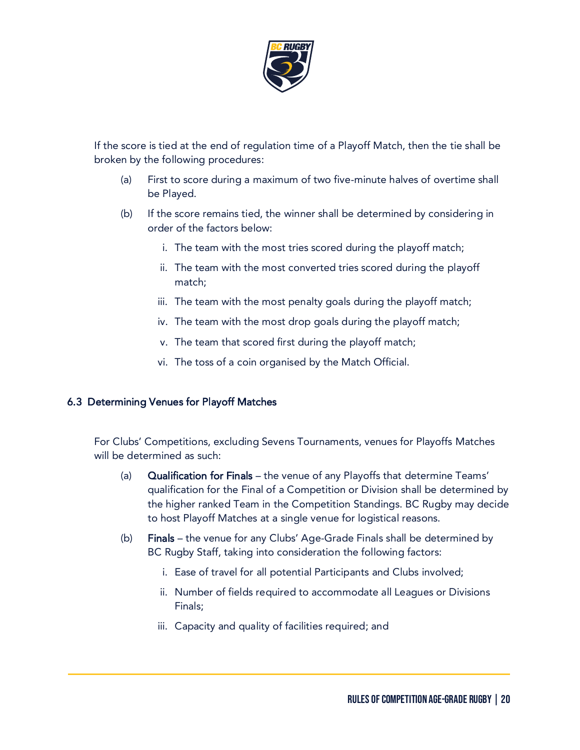

If the score is tied at the end of regulation time of a Playoff Match, then the tie shall be broken by the following procedures:

- (a) First to score during a maximum of two five-minute halves of overtime shall be Played.
- (b) If the score remains tied, the winner shall be determined by considering in order of the factors below:
	- i. The team with the most tries scored during the playoff match;
	- ii. The team with the most converted tries scored during the playoff match;
	- iii. The team with the most penalty goals during the playoff match;
	- iv. The team with the most drop goals during the playoff match;
	- v. The team that scored first during the playoff match;
	- vi. The toss of a coin organised by the Match Official.

#### 6.3 Determining Venues for Playoff Matches

For Clubs' Competitions, excluding Sevens Tournaments, venues for Playoffs Matches will be determined as such:

- (a) Qualification for Finals the venue of any Playoffs that determine Teams' qualification for the Final of a Competition or Division shall be determined by the higher ranked Team in the Competition Standings. BC Rugby may decide to host Playoff Matches at a single venue for logistical reasons.
- (b) Finals the venue for any Clubs' Age-Grade Finals shall be determined by BC Rugby Staff, taking into consideration the following factors:
	- i. Ease of travel for all potential Participants and Clubs involved;
	- ii. Number of fields required to accommodate all Leagues or Divisions Finals;
	- iii. Capacity and quality of facilities required; and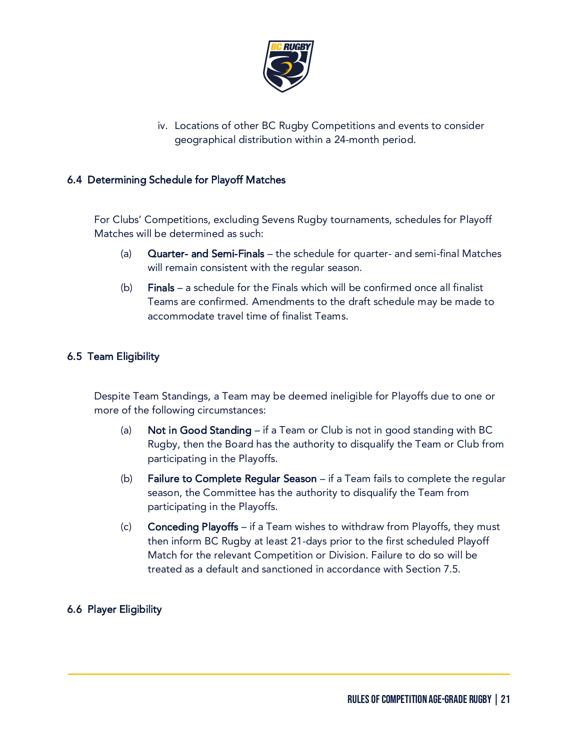

iv. Locations of other BC Rugby Competitions and events to consider geographical distribution within a 24-month period.

#### 6.4 Determining Schedule for Playoff Matches

For Clubs' Competitions, excluding Sevens Rugby tournaments, schedules for Playoff Matches will be determined as such:

- (a) Quarter- and Semi-Finals the schedule for quarter- and semi-final Matches will remain consistent with the regular season.
- (b) Finals a schedule for the Finals which will be confirmed once all finalist Teams are confirmed. Amendments to the draft schedule may be made to accommodate travel time of finalist Teams.

#### 6.5 Team Eligibility

Despite Team Standings, a Team may be deemed ineligible for Playoffs due to one or more of the following circumstances:

- (a) Not in Good Standing if a Team or Club is not in good standing with BC Rugby, then the Board has the authority to disqualify the Team or Club from participating in the Playoffs.
- (b) Failure to Complete Regular Season if a Team fails to complete the regular season, the Committee has the authority to disqualify the Team from participating in the Playoffs.
- (c) Conceding Playoffs if a Team wishes to withdraw from Playoffs, they must then inform BC Rugby at least 21-days prior to the first scheduled Playoff Match for the relevant Competition or Division. Failure to do so will be treated as a default and sanctioned in accordance with Section 7.5.

#### 6.6 Player Eligibility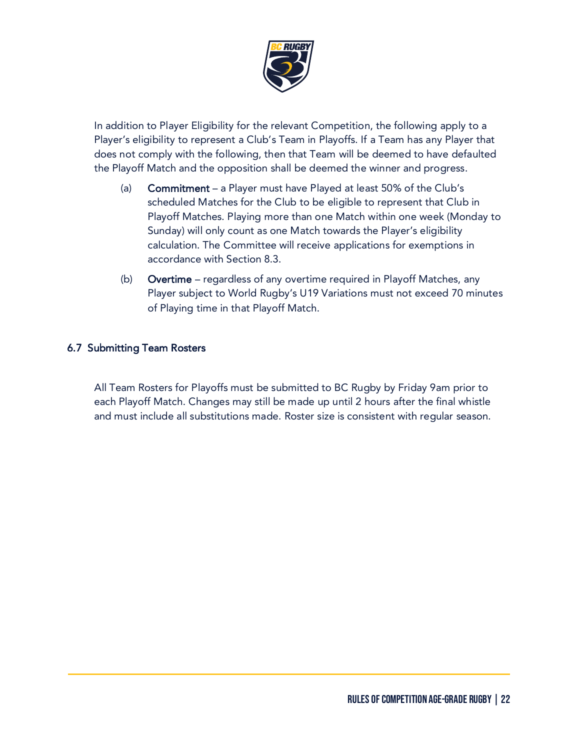

In addition to Player Eligibility for the relevant Competition, the following apply to a Player's eligibility to represent a Club's Team in Playoffs. If a Team has any Player that does not comply with the following, then that Team will be deemed to have defaulted the Playoff Match and the opposition shall be deemed the winner and progress.

- (a) Commitment a Player must have Played at least 50% of the Club's scheduled Matches for the Club to be eligible to represent that Club in Playoff Matches. Playing more than one Match within one week (Monday to Sunday) will only count as one Match towards the Player's eligibility calculation. The Committee will receive applications for exemptions in accordance with Section 8.3.
- (b) Overtime regardless of any overtime required in Playoff Matches, any Player subject to World Rugby's U19 Variations must not exceed 70 minutes of Playing time in that Playoff Match.

#### 6.7 Submitting Team Rosters

All Team Rosters for Playoffs must be submitted to BC Rugby by Friday 9am prior to each Playoff Match. Changes may still be made up until 2 hours after the final whistle and must include all substitutions made. Roster size is consistent with regular season.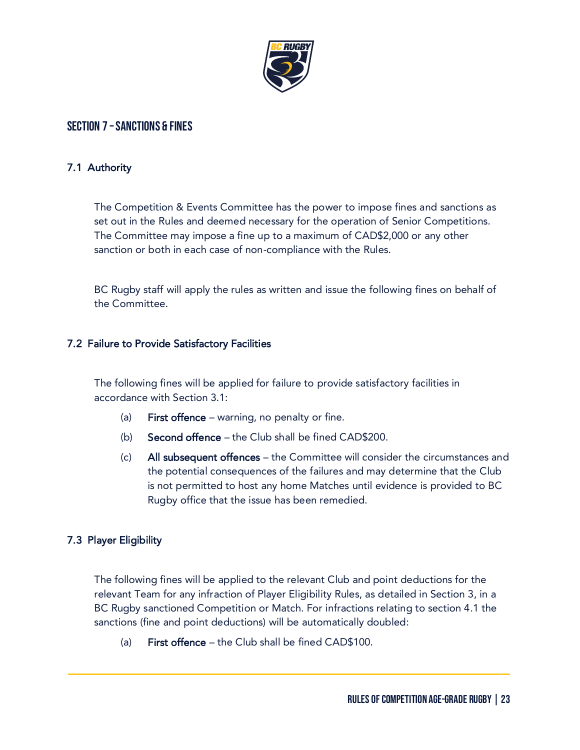

## Section 7 –Sanctions & Fines

#### 7.1 Authority

The Competition & Events Committee has the power to impose fines and sanctions as set out in the Rules and deemed necessary for the operation of Senior Competitions. The Committee may impose a fine up to a maximum of CAD\$2,000 or any other sanction or both in each case of non-compliance with the Rules.

BC Rugby staff will apply the rules as written and issue the following fines on behalf of the Committee.

#### 7.2 Failure to Provide Satisfactory Facilities

The following fines will be applied for failure to provide satisfactory facilities in accordance with Section 3.1:

- (a) First offence warning, no penalty or fine.
- (b) Second offence the Club shall be fined CAD\$200.
- (c) All subsequent offences the Committee will consider the circumstances and the potential consequences of the failures and may determine that the Club is not permitted to host any home Matches until evidence is provided to BC Rugby office that the issue has been remedied.

#### 7.3 Player Eligibility

The following fines will be applied to the relevant Club and point deductions for the relevant Team for any infraction of Player Eligibility Rules, as detailed in Section 3, in a BC Rugby sanctioned Competition or Match. For infractions relating to section 4.1 the sanctions (fine and point deductions) will be automatically doubled:

(a) First offence – the Club shall be fined CAD\$100.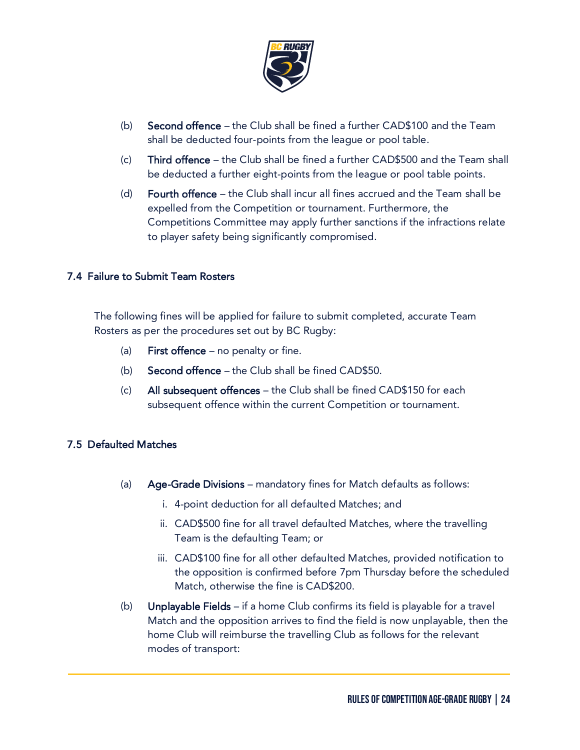

- (b) Second offence the Club shall be fined a further CAD\$100 and the Team shall be deducted four-points from the league or pool table.
- (c) Third offence the Club shall be fined a further CAD\$500 and the Team shall be deducted a further eight-points from the league or pool table points.
- (d) Fourth offence the Club shall incur all fines accrued and the Team shall be expelled from the Competition or tournament. Furthermore, the Competitions Committee may apply further sanctions if the infractions relate to player safety being significantly compromised.

#### 7.4 Failure to Submit Team Rosters

The following fines will be applied for failure to submit completed, accurate Team Rosters as per the procedures set out by BC Rugby:

- (a) First offence no penalty or fine.
- (b) Second offence the Club shall be fined CAD\$50.
- (c) All subsequent offences the Club shall be fined CAD\$150 for each subsequent offence within the current Competition or tournament.

## 7.5 Defaulted Matches

- (a) Age-Grade Divisions mandatory fines for Match defaults as follows:
	- i. 4-point deduction for all defaulted Matches; and
	- ii. CAD\$500 fine for all travel defaulted Matches, where the travelling Team is the defaulting Team; or
	- iii. CAD\$100 fine for all other defaulted Matches, provided notification to the opposition is confirmed before 7pm Thursday before the scheduled Match, otherwise the fine is CAD\$200.
- (b) Unplayable Fields if a home Club confirms its field is playable for a travel Match and the opposition arrives to find the field is now unplayable, then the home Club will reimburse the travelling Club as follows for the relevant modes of transport: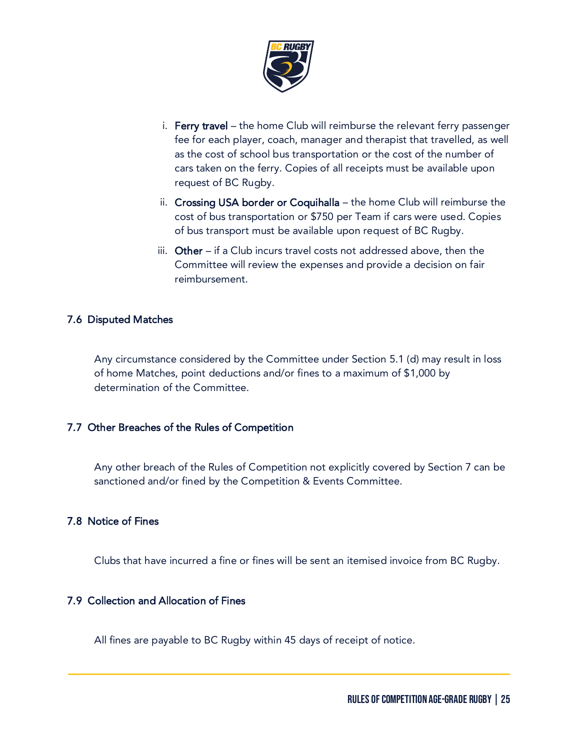

- i. Ferry travel the home Club will reimburse the relevant ferry passenger fee for each player, coach, manager and therapist that travelled, as well as the cost of school bus transportation or the cost of the number of cars taken on the ferry. Copies of all receipts must be available upon request of BC Rugby.
- ii. Crossing USA border or Coquihalla the home Club will reimburse the cost of bus transportation or \$750 per Team if cars were used. Copies of bus transport must be available upon request of BC Rugby.
- iii. Other if a Club incurs travel costs not addressed above, then the Committee will review the expenses and provide a decision on fair reimbursement.

#### 7.6 Disputed Matches

Any circumstance considered by the Committee under Section 5.1 (d) may result in loss of home Matches, point deductions and/or fines to a maximum of \$1,000 by determination of the Committee.

#### 7.7 Other Breaches of the Rules of Competition

Any other breach of the Rules of Competition not explicitly covered by Section 7 can be sanctioned and/or fined by the Competition & Events Committee.

#### 7.8 Notice of Fines

Clubs that have incurred a fine or fines will be sent an itemised invoice from BC Rugby.

#### 7.9 Collection and Allocation of Fines

All fines are payable to BC Rugby within 45 days of receipt of notice.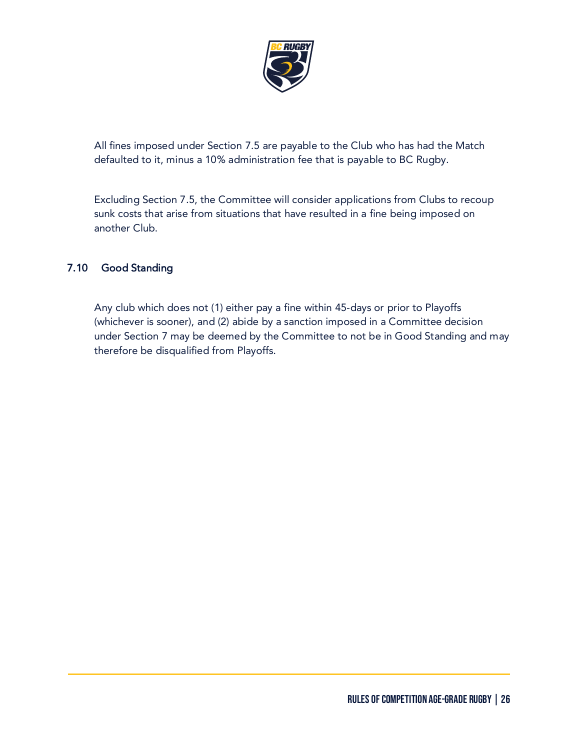

All fines imposed under Section 7.5 are payable to the Club who has had the Match defaulted to it, minus a 10% administration fee that is payable to BC Rugby.

Excluding Section 7.5, the Committee will consider applications from Clubs to recoup sunk costs that arise from situations that have resulted in a fine being imposed on another Club.

## 7.10 Good Standing

Any club which does not (1) either pay a fine within 45-days or prior to Playoffs (whichever is sooner), and (2) abide by a sanction imposed in a Committee decision under Section 7 may be deemed by the Committee to not be in Good Standing and may therefore be disqualified from Playoffs.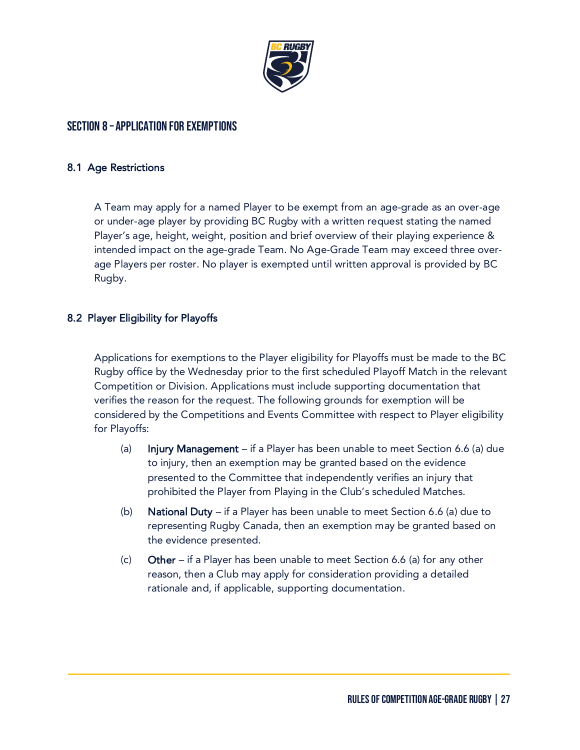

## Section 8 – Application for Exemptions

#### 8.1 Age Restrictions

A Team may apply for a named Player to be exempt from an age-grade as an over-age or under-age player by providing BC Rugby with a written request stating the named Player's age, height, weight, position and brief overview of their playing experience & intended impact on the age-grade Team. No Age-Grade Team may exceed three overage Players per roster. No player is exempted until written approval is provided by BC Rugby.

#### 8.2 Player Eligibility for Playoffs

Applications for exemptions to the Player eligibility for Playoffs must be made to the BC Rugby office by the Wednesday prior to the first scheduled Playoff Match in the relevant Competition or Division. Applications must include supporting documentation that verifies the reason for the request. The following grounds for exemption will be considered by the Competitions and Events Committee with respect to Player eligibility for Playoffs:

- (a) Injury Management if a Player has been unable to meet Section 6.6 (a) due to injury, then an exemption may be granted based on the evidence presented to the Committee that independently verifies an injury that prohibited the Player from Playing in the Club's scheduled Matches.
- (b) National Duty if a Player has been unable to meet Section 6.6 (a) due to representing Rugby Canada, then an exemption may be granted based on the evidence presented.
- (c) Other if a Player has been unable to meet Section 6.6 (a) for any other reason, then a Club may apply for consideration providing a detailed rationale and, if applicable, supporting documentation.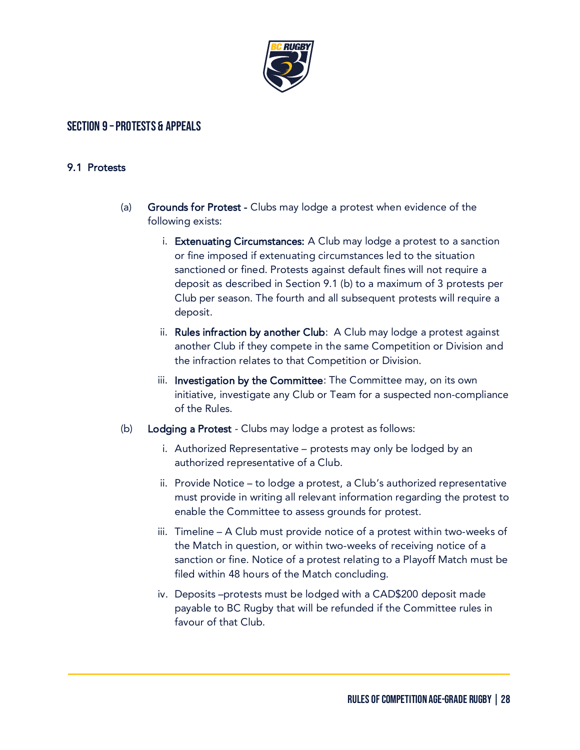

## Section 9 –Protests & Appeals

#### 9.1 Protests

- (a) Grounds for Protest Clubs may lodge a protest when evidence of the following exists:
	- i. Extenuating Circumstances: A Club may lodge a protest to a sanction or fine imposed if extenuating circumstances led to the situation sanctioned or fined. Protests against default fines will not require a deposit as described in Section 9.1 (b) to a maximum of 3 protests per Club per season. The fourth and all subsequent protests will require a deposit.
	- ii. Rules infraction by another Club: A Club may lodge a protest against another Club if they compete in the same Competition or Division and the infraction relates to that Competition or Division.
	- iii. Investigation by the Committee: The Committee may, on its own initiative, investigate any Club or Team for a suspected non-compliance of the Rules.
- (b) Lodging a Protest Clubs may lodge a protest as follows:
	- i. Authorized Representative protests may only be lodged by an authorized representative of a Club.
	- ii. Provide Notice to lodge a protest, a Club's authorized representative must provide in writing all relevant information regarding the protest to enable the Committee to assess grounds for protest.
	- iii. Timeline A Club must provide notice of a protest within two-weeks of the Match in question, or within two-weeks of receiving notice of a sanction or fine. Notice of a protest relating to a Playoff Match must be filed within 48 hours of the Match concluding.
	- iv. Deposits –protests must be lodged with a CAD\$200 deposit made payable to BC Rugby that will be refunded if the Committee rules in favour of that Club.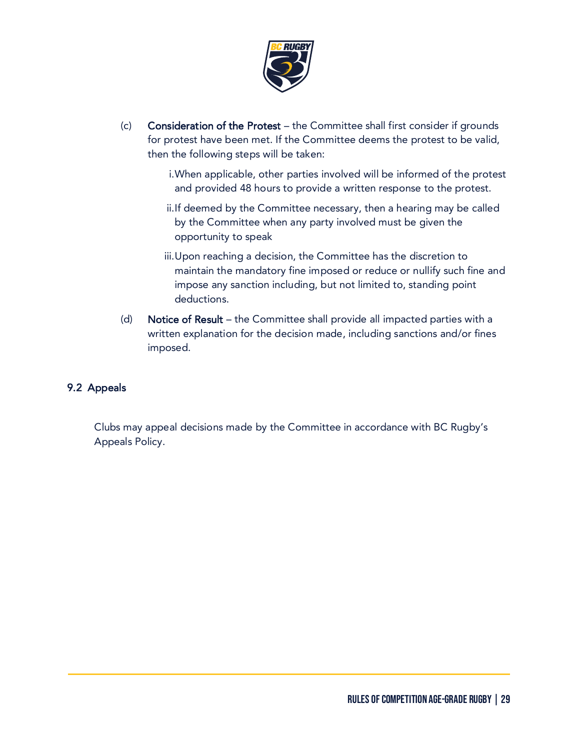

- (c) Consideration of the Protest the Committee shall first consider if grounds for protest have been met. If the Committee deems the protest to be valid, then the following steps will be taken:
	- i.When applicable, other parties involved will be informed of the protest and provided 48 hours to provide a written response to the protest.
	- ii.If deemed by the Committee necessary, then a hearing may be called by the Committee when any party involved must be given the opportunity to speak
	- iii.Upon reaching a decision, the Committee has the discretion to maintain the mandatory fine imposed or reduce or nullify such fine and impose any sanction including, but not limited to, standing point deductions.
- (d) Notice of Result the Committee shall provide all impacted parties with a written explanation for the decision made, including sanctions and/or fines imposed.

#### 9.2 Appeals

Clubs may appeal decisions made by the Committee in accordance with BC Rugby's Appeals Policy.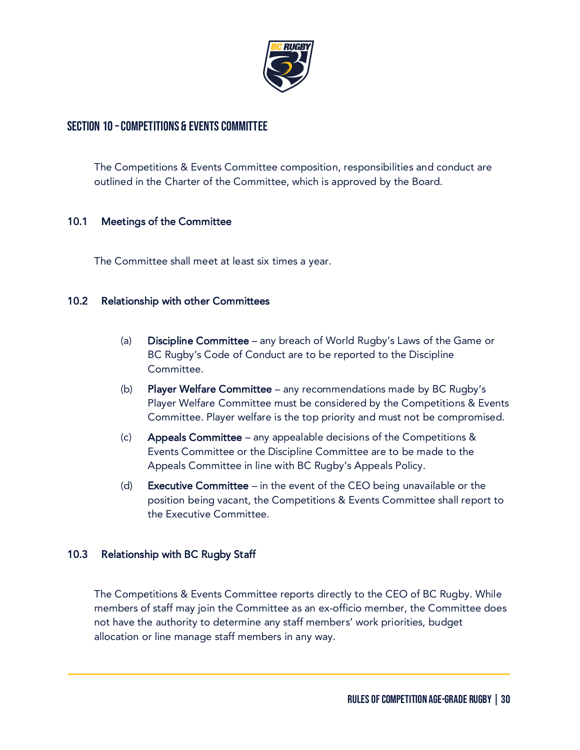

## Section 10 –Competitions & Events Committee

The Competitions & Events Committee composition, responsibilities and conduct are outlined in the Charter of the Committee, which is approved by the Board.

#### 10.1 Meetings of the Committee

The Committee shall meet at least six times a year.

#### 10.2 Relationship with other Committees

- (a) Discipline Committee any breach of World Rugby's Laws of the Game or BC Rugby's Code of Conduct are to be reported to the Discipline Committee.
- (b) Player Welfare Committee any recommendations made by BC Rugby's Player Welfare Committee must be considered by the Competitions & Events Committee. Player welfare is the top priority and must not be compromised.
- (c) Appeals Committee any appealable decisions of the Competitions & Events Committee or the Discipline Committee are to be made to the Appeals Committee in line with BC Rugby's Appeals Policy.
- (d) **Executive Committee** in the event of the CEO being unavailable or the position being vacant, the Competitions & Events Committee shall report to the Executive Committee.

#### 10.3 Relationship with BC Rugby Staff

The Competitions & Events Committee reports directly to the CEO of BC Rugby. While members of staff may join the Committee as an ex-officio member, the Committee does not have the authority to determine any staff members' work priorities, budget allocation or line manage staff members in any way.